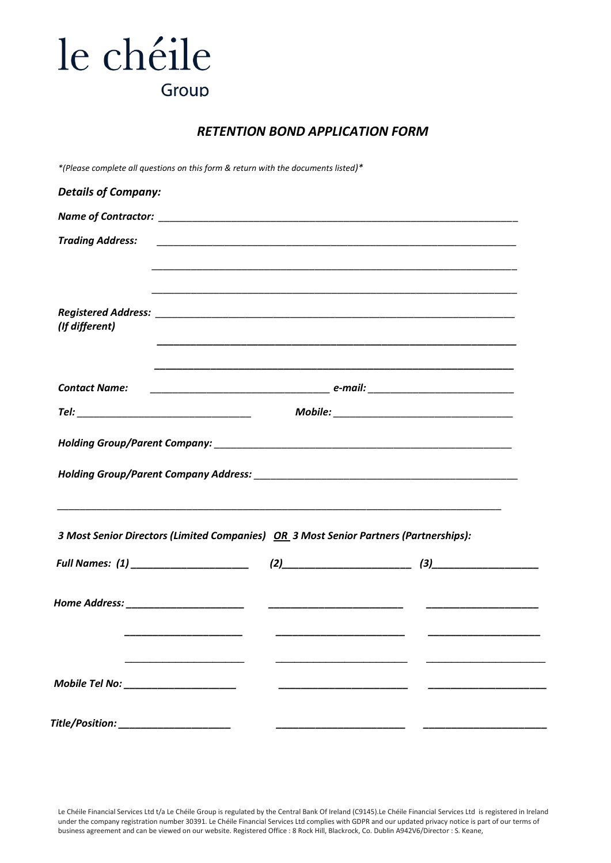## le chéile Group

### *RETENTION BOND APPLICATION FORM*

*\*(Please complete all questions on this form & return with the documents listed)\**

| <b>Trading Address:</b> |                                                                                                                                                                                                                |
|-------------------------|----------------------------------------------------------------------------------------------------------------------------------------------------------------------------------------------------------------|
|                         |                                                                                                                                                                                                                |
|                         |                                                                                                                                                                                                                |
| (If different)          |                                                                                                                                                                                                                |
|                         |                                                                                                                                                                                                                |
| <b>Contact Name:</b>    |                                                                                                                                                                                                                |
|                         |                                                                                                                                                                                                                |
|                         |                                                                                                                                                                                                                |
|                         | <u> 1989 - Johann Barn, amerikan berkema dalam berkema dalam berkema dalam berkema dalam berkema dalam berkema da</u><br>3 Most Senior Directors (Limited Companies) OR 3 Most Senior Partners (Partnerships): |
|                         |                                                                                                                                                                                                                |
|                         |                                                                                                                                                                                                                |
|                         | ___________________________                                                                                                                                                                                    |

Le Chéile Financial Services Ltd t/a Le Chéile Group is regulated by the Central Bank Of Ireland (C9145).Le Chéile Financial Services Ltd is registered in Ireland under the company registration number 30391. Le Chéile Financial Services Ltd complies with GDPR and our updated privacy notice is part of our terms of business agreement and can be viewed on our website. Registered Office : 8 Rock Hill, Blackrock, Co. Dublin A942V6/Director : S. Keane,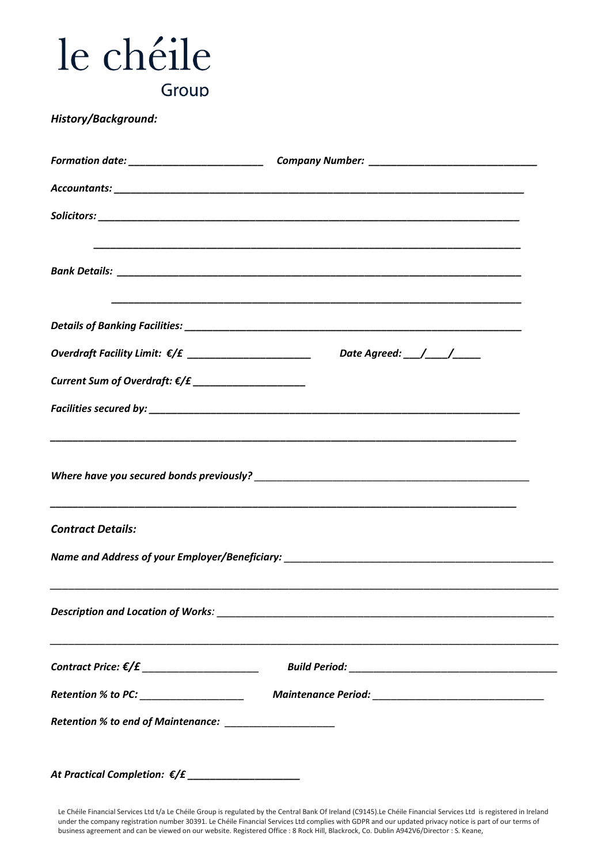| le chéile                                                                                                                                                                                                 |
|-----------------------------------------------------------------------------------------------------------------------------------------------------------------------------------------------------------|
| Group                                                                                                                                                                                                     |
| <b>History/Background:</b>                                                                                                                                                                                |
| Formation date: __________________________________Company Number: _________________________________                                                                                                       |
|                                                                                                                                                                                                           |
|                                                                                                                                                                                                           |
|                                                                                                                                                                                                           |
|                                                                                                                                                                                                           |
| Overdraft Facility Limit: $\epsilon/f$ __________________________________Date Agreed: ___/____/_____                                                                                                      |
| Current Sum of Overdraft: $\epsilon / \epsilon$ ______________________                                                                                                                                    |
|                                                                                                                                                                                                           |
| ,我们也不能在这里的时候,我们也不能在这里的时候,我们也不能在这里的时候,我们也不能会在这里的时候,我们也不能会在这里的时候,我们也不能会在这里的时候,我们也不<br><u> 1989 - Johann Stoff, deutscher Stoff, der Stoff, der Stoff, der Stoff, der Stoff, der Stoff, der Stoff, der S</u> |
| <b>Contract Details:</b>                                                                                                                                                                                  |
|                                                                                                                                                                                                           |
|                                                                                                                                                                                                           |
|                                                                                                                                                                                                           |
|                                                                                                                                                                                                           |
| Retention % to end of Maintenance: ______________________                                                                                                                                                 |

*At Practical Completion: €/£ \_\_\_\_\_\_\_\_\_\_\_\_\_\_\_\_\_\_\_\_*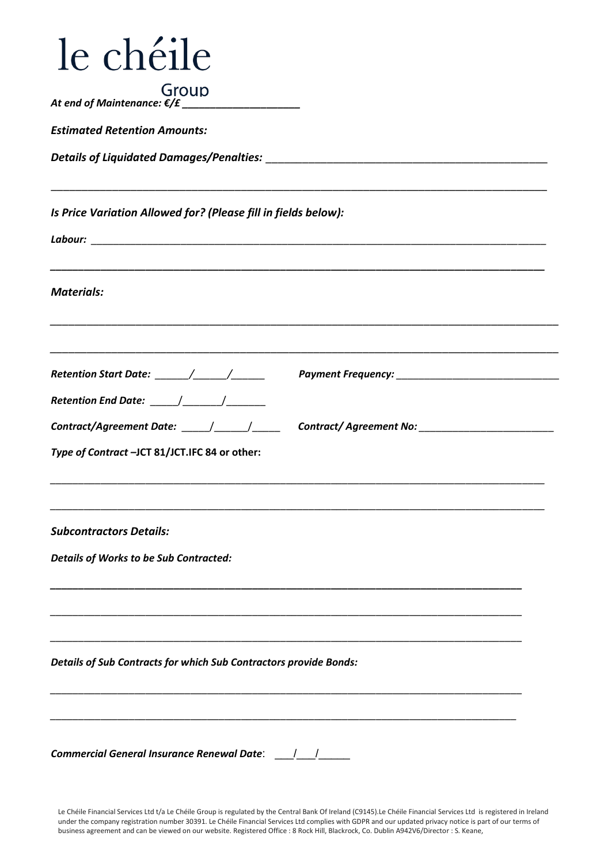| le chéile                                                         |  |  |  |
|-------------------------------------------------------------------|--|--|--|
| Group                                                             |  |  |  |
| <b>Estimated Retention Amounts:</b>                               |  |  |  |
|                                                                   |  |  |  |
| Is Price Variation Allowed for? (Please fill in fields below):    |  |  |  |
|                                                                   |  |  |  |
| <b>Materials:</b>                                                 |  |  |  |
|                                                                   |  |  |  |
|                                                                   |  |  |  |
| Type of Contract -JCT 81/JCT.IFC 84 or other:                     |  |  |  |
| <b>Subcontractors Details:</b>                                    |  |  |  |
| <b>Details of Works to be Sub Contracted:</b>                     |  |  |  |
|                                                                   |  |  |  |
| Details of Sub Contracts for which Sub Contractors provide Bonds: |  |  |  |
|                                                                   |  |  |  |
| Commercial General Insurance Renewal Date: \[must]                |  |  |  |

Le Chéile Financial Services Ltd t/a Le Chéile Group is regulated by the Central Bank Of Ireland (C9145).Le Chéile Financial Services Ltd is registered in Ireland under the company registration number 30391. Le Chéile Financial Services Ltd complies with GDPR and our updated privacy notice is part of our terms of business agreement and can be viewed on our website. Registered Office : 8 Rock Hill, Blackrock, Co. Dublin A942V6/Director : S. Keane,